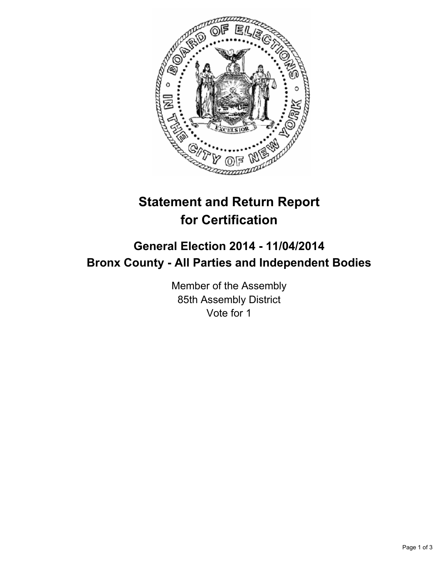

## **Statement and Return Report for Certification**

## **General Election 2014 - 11/04/2014 Bronx County - All Parties and Independent Bodies**

Member of the Assembly 85th Assembly District Vote for 1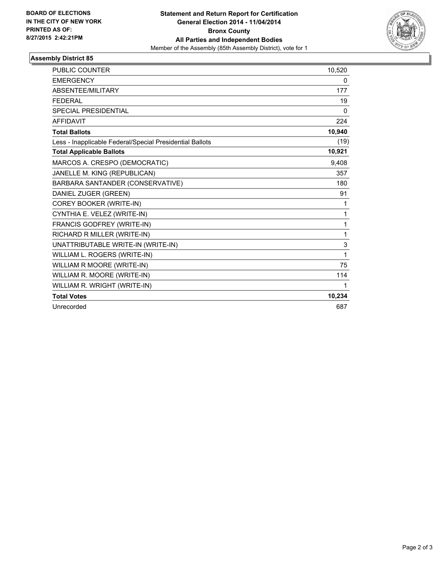

## **Assembly District 85**

| PUBLIC COUNTER                                           | 10,520       |
|----------------------------------------------------------|--------------|
| <b>EMERGENCY</b>                                         | 0            |
| <b>ABSENTEE/MILITARY</b>                                 | 177          |
| <b>FEDERAL</b>                                           | 19           |
| SPECIAL PRESIDENTIAL                                     | 0            |
| <b>AFFIDAVIT</b>                                         | 224          |
| <b>Total Ballots</b>                                     | 10,940       |
| Less - Inapplicable Federal/Special Presidential Ballots | (19)         |
| <b>Total Applicable Ballots</b>                          | 10,921       |
| MARCOS A. CRESPO (DEMOCRATIC)                            | 9,408        |
| JANELLE M. KING (REPUBLICAN)                             | 357          |
| BARBARA SANTANDER (CONSERVATIVE)                         | 180          |
| DANIEL ZUGER (GREEN)                                     | 91           |
| COREY BOOKER (WRITE-IN)                                  | 1            |
| CYNTHIA E. VELEZ (WRITE-IN)                              | $\mathbf{1}$ |
| FRANCIS GODFREY (WRITE-IN)                               | 1            |
| RICHARD R MILLER (WRITE-IN)                              | 1            |
| UNATTRIBUTABLE WRITE-IN (WRITE-IN)                       | 3            |
| WILLIAM L. ROGERS (WRITE-IN)                             | 1            |
| WILLIAM R MOORE (WRITE-IN)                               | 75           |
| WILLIAM R. MOORE (WRITE-IN)                              | 114          |
| WILLIAM R. WRIGHT (WRITE-IN)                             | 1            |
| <b>Total Votes</b>                                       | 10,234       |
| Unrecorded                                               | 687          |